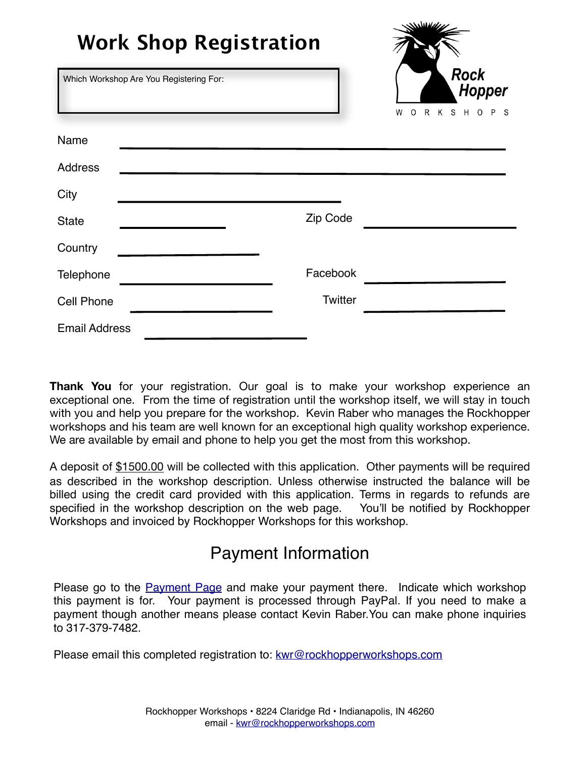| <b>Work Shop Registration</b>           |          | <u>SSSMANN</u>                                                      |
|-----------------------------------------|----------|---------------------------------------------------------------------|
| Which Workshop Are You Registering For: |          | <b>Rock</b><br><b>Hopper</b><br>S H O P S<br>R<br>K<br>$\circ$<br>W |
| Name                                    |          |                                                                     |
| <b>Address</b>                          |          |                                                                     |
| City                                    |          |                                                                     |
| <b>State</b>                            | Zip Code |                                                                     |
| Country                                 |          |                                                                     |
| Telephone                               | Facebook |                                                                     |
| <b>Cell Phone</b>                       | Twitter  |                                                                     |
| <b>Email Address</b>                    |          |                                                                     |

**Thank You** for your registration. Our goal is to make your workshop experience an exceptional one. From the time of registration until the workshop itself, we will stay in touch with you and help you prepare for the workshop. Kevin Raber who manages the Rockhopper workshops and his team are well known for an exceptional high quality workshop experience. We are available by email and phone to help you get the most from this workshop.

A deposit of \$1500.00 will be collected with this application. Other payments will be required as described in the workshop description. Unless otherwise instructed the balance will be billed using the credit card provided with this application. Terms in regards to refunds are specified in the workshop description on the web page. You'll be notified by Rockhopper Workshops and invoiced by Rockhopper Workshops for this workshop.

## Payment Information

Please go to the **[Payment Page](http://rockhopperworkshops.com/payment/)** and make your payment there. Indicate which workshop this payment is for. Your payment is processed through PayPal. If you need to make a payment though another means please contact Kevin Raber.You can make phone inquiries to 317-379-7482.

Please email this completed registration to: [kwr@rockhopperworkshops.com](mailto:kwr@rockhopperworkshops.com)